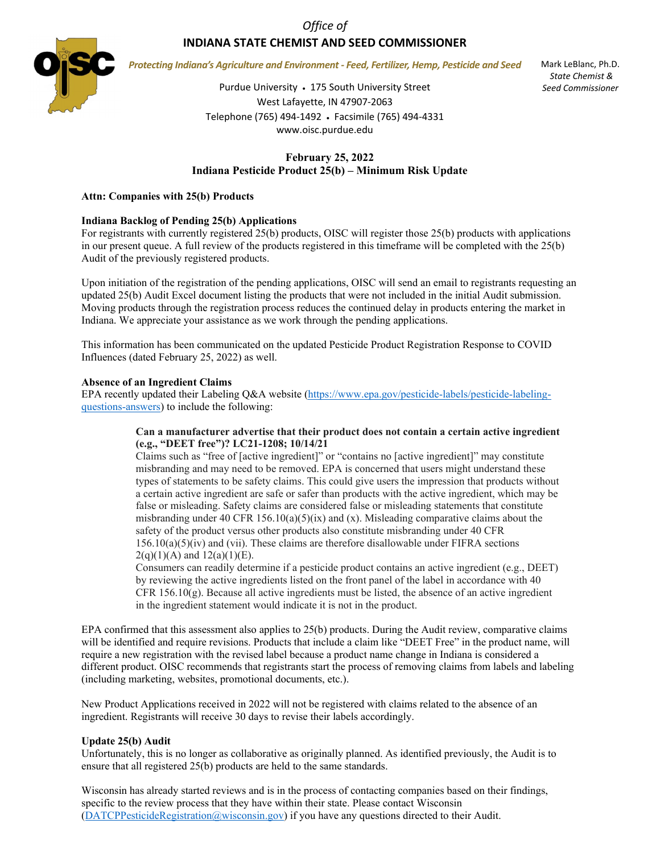*Office of*

# **INDIANA STATE CHEMIST AND SEED COMMISSIONER**



*Protecting Indiana's Agriculture and Environment - Feed, Fertilizer, Hemp, Pesticide and Seed*

Purdue University • 175 South University Street West Lafayette, IN 47907-2063 Telephone (765) 494-1492 • Facsimile (765) 494-4331 www.oisc.purdue.edu

Mark LeBlanc, Ph.D. *State Chemist & Seed Commissioner*

## **February 25, 2022 Indiana Pesticide Product 25(b) – Minimum Risk Update**

#### **Attn: Companies with 25(b) Products**

#### **Indiana Backlog of Pending 25(b) Applications**

For registrants with currently registered 25(b) products, OISC will register those 25(b) products with applications in our present queue. A full review of the products registered in this timeframe will be completed with the 25(b) Audit of the previously registered products.

Upon initiation of the registration of the pending applications, OISC will send an email to registrants requesting an updated 25(b) Audit Excel document listing the products that were not included in the initial Audit submission. Moving products through the registration process reduces the continued delay in products entering the market in Indiana. We appreciate your assistance as we work through the pending applications.

This information has been communicated on the updated Pesticide Product Registration Response to COVID Influences (dated February 25, 2022) as well.

#### **Absence of an Ingredient Claims**

EPA recently updated their Labeling Q&A website [\(https://www.epa.gov/pesticide-labels/pesticide-labeling](https://www.epa.gov/pesticide-labels/pesticide-labeling-questions-answers)[questions-answers\)](https://www.epa.gov/pesticide-labels/pesticide-labeling-questions-answers) to include the following:

#### **Can a manufacturer advertise that their product does not contain a certain active ingredient (e.g., "DEET free")? LC21-1208; 10/14/21**

Claims such as "free of [active ingredient]" or "contains no [active ingredient]" may constitute misbranding and may need to be removed. EPA is concerned that users might understand these types of statements to be safety claims. This could give users the impression that products without a certain active ingredient are safe or safer than products with the active ingredient, which may be false or misleading. Safety claims are considered false or misleading statements that constitute misbranding under 40 CFR 156.10(a)(5)(ix) and (x). Misleading comparative claims about the safety of the product versus other products also constitute misbranding under 40 CFR  $156.10(a)(5)(iv)$  and (vii). These claims are therefore disallowable under FIFRA sections  $2(q)(1)(A)$  and  $12(a)(1)(E)$ .

Consumers can readily determine if a pesticide product contains an active ingredient (e.g., DEET) by reviewing the active ingredients listed on the front panel of the label in accordance with 40 CFR  $156.10(g)$ . Because all active ingredients must be listed, the absence of an active ingredient in the ingredient statement would indicate it is not in the product.

EPA confirmed that this assessment also applies to 25(b) products. During the Audit review, comparative claims will be identified and require revisions. Products that include a claim like "DEET Free" in the product name, will require a new registration with the revised label because a product name change in Indiana is considered a different product. OISC recommends that registrants start the process of removing claims from labels and labeling (including marketing, websites, promotional documents, etc.).

New Product Applications received in 2022 will not be registered with claims related to the absence of an ingredient. Registrants will receive 30 days to revise their labels accordingly.

#### **Update 25(b) Audit**

Unfortunately, this is no longer as collaborative as originally planned. As identified previously, the Audit is to ensure that all registered 25(b) products are held to the same standards.

Wisconsin has already started reviews and is in the process of contacting companies based on their findings, specific to the review process that they have within their state. Please contact Wisconsin [\(DATCPPesticideRegistration@wisconsin.gov\)](mailto:DATCPPesticideRegistration@wisconsin.gov) if you have any questions directed to their Audit.